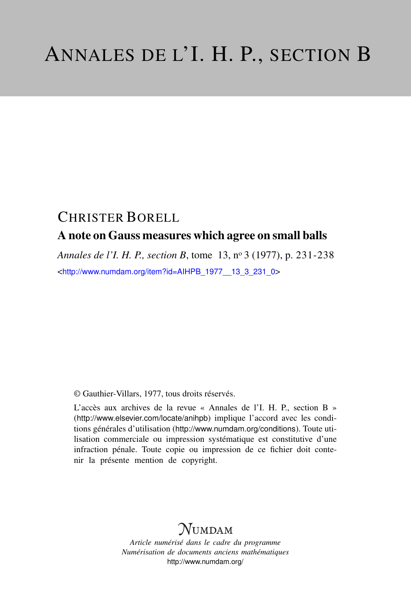# CHRISTER BORELL

### A note on Gauss measures which agree on small balls

*Annales de l'I. H. P., section B*, tome 13, n<sup>o</sup> 3 (1977), p. 231-238 <[http://www.numdam.org/item?id=AIHPB\\_1977\\_\\_13\\_3\\_231\\_0](http://www.numdam.org/item?id=AIHPB_1977__13_3_231_0)>

© Gauthier-Villars, 1977, tous droits réservés.

L'accès aux archives de la revue « Annales de l'I. H. P., section B » (<http://www.elsevier.com/locate/anihpb>) implique l'accord avec les conditions générales d'utilisation (<http://www.numdam.org/conditions>). Toute utilisation commerciale ou impression systématique est constitutive d'une infraction pénale. Toute copie ou impression de ce fichier doit contenir la présente mention de copyright.

# **NUMDAM**

*Article numérisé dans le cadre du programme Numérisation de documents anciens mathématiques* <http://www.numdam.org/>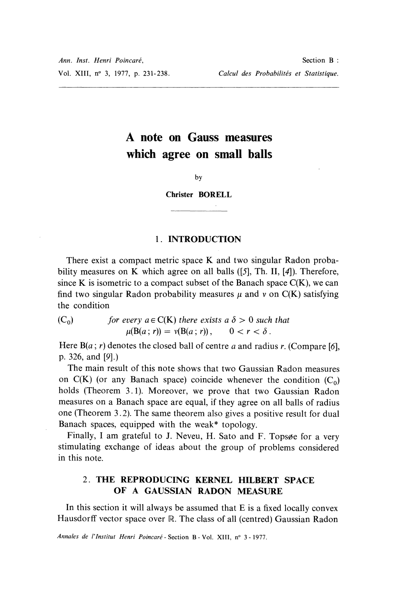## A note on Gauss measures which agree on small balls

 $b**v**$ 

Christer BORELL

#### 1. INTRODUCTION

There exist a compact metric space K and two singular Radon probability measures on K which agree on all balls  $(5]$ , Th. II,  $[4]$ ). Therefore, since K is isometric to a compact subset of the Banach space  $C(K)$ , we can find two singular Radon probability measures  $\mu$  and  $\nu$  on C(K) satisfying the condition

(C<sub>0</sub>) for every 
$$
a \in C(K)
$$
 there exists a  $\delta > 0$  such that  
 $\mu(B(a; r)) = \nu(B(a; r)), \qquad 0 < r < \delta$ .

Here  $B(a; r)$  denotes the closed ball of centre a and radius r. (Compare [6], p. 326, and [9].)

The main result of this note shows that two Gaussian Radon measures on  $C(K)$  (or any Banach space) coincide whenever the condition  $(C_0)$ holds (Theorem 3.1). Moreover, we prove that two Gaussian Radon measures on a Banach space are equal, if they agree on all balls of radius one (Theorem 3.2). The same theorem also gives a positive result for dual Banach spaces, equipped with the weak\* topology.

Finally, I am grateful to J. Neveu, H. Sato and F. Topsøe for a very stimulating exchange of ideas about the group of problems considered in this note.

#### 2. THE REPRODUCING KERNEL HILBERT SPACE OF A GAUSSIAN RADON MEASURE

In this section it will always be assumed that E is a fixed locally convex Hausdorff vector space over  $\mathbb R$ . The class of all (centred) Gaussian Radon

Annales de l'Institut Henri Poincaré - Section B - Vol. XIII, n° 3 - 1977.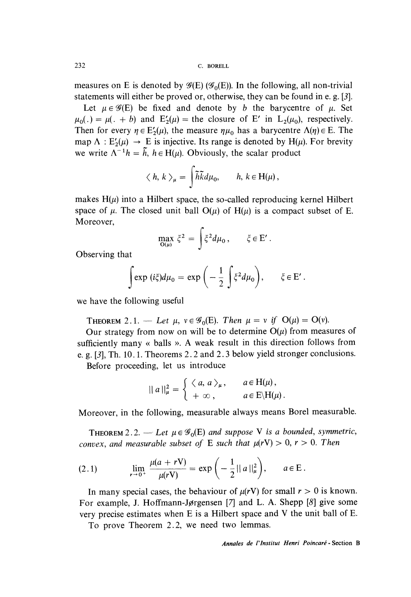measures on E is denoted by  $\mathscr{G}(E)$  ( $\mathscr{G}_0(E)$ ). In the following, all non-trivial statements will either be proved or, otherwise, they can be found in e. g. [3].

Let  $\mu \in \mathscr{G}(E)$  be fixed and denote by b the barycentre of  $\mu$ . Set  $\mu_0(.) = \mu(.) + b$  and  $E'_2(\mu) =$  the closure of E' in  $L_2(\mu_0)$ , respectively. Then for every  $\eta \in E'_2(\mu)$ , the measure  $\eta \mu_0$  has a barycentre  $\Lambda(\eta) \in E$ . The map  $\Lambda : E'_2(\mu) \to E$  is injective. Its range is denoted by H( $\mu$ ). For brevity we write  $\Lambda^{-1}h = \tilde{h}$ ,  $h \in H(\mu)$ . Obviously, the scalar product

$$
\langle h, k \rangle_{\mu} = \int \tilde{h} \tilde{k} d\mu_0, \qquad h, k \in H(\mu),
$$

makes  $H(\mu)$  into a Hilbert space, the so-called reproducing kernel Hilbert space of  $\mu$ . The closed unit ball  $O(\mu)$  of  $H(\mu)$  is a compact subset of E. Moreover,

$$
\max_{\mathcal{O}(\mu)} \xi^2 = \int \xi^2 d\mu_0, \qquad \xi \in \mathcal{E}'.
$$

Observing that

$$
\int \exp (i\xi) d\mu_0 = \exp \left(-\frac{1}{2} \int \xi^2 d\mu_0\right), \qquad \xi \in \mathcal{E}'.
$$

we have the following useful

**THEOREM** 2.1. — Let  $\mu$ ,  $v \in \mathscr{G}_0(E)$ . Then  $\mu = v$  if  $O(\mu) = O(v)$ .

Our strategy from now on will be to determine  $O(\mu)$  from measures of sufficiently many « balls ». A weak result in this direction follows from e. g. [3], Th. 10. l. Theorems 2. 2 and 2. 3 below yield stronger conclusions.

Before proceeding, let us introduce

$$
||a||_{\mu}^{2} = \begin{cases} \langle a, a \rangle_{\mu}, & a \in H(\mu), \\ +\infty, & a \in E\setminus H(\mu). \end{cases}
$$

Moreover, in the following, measurable always means Borel measurable.

**THEOREM** 2.2. — Let  $\mu \in \mathscr{G}_0(E)$  and suppose V is a bounded, symmetric, convex, and measurable subset of E such that  $\mu(rV) > 0$ ,  $r > 0$ . Then

(2.1) 
$$
\lim_{r \to 0^+} \frac{\mu(a + rV)}{\mu(rV)} = \exp\left(-\frac{1}{2}||a||_{\mu}^2\right), \qquad a \in E.
$$

In many special cases, the behaviour of  $\mu(rV)$  for small  $r > 0$  is known. For example, J. Hoffmann-Jørgensen [7] and L. A. Shepp [8] give some very precise estimates when E is a Hilbert space and V the unit ball of E.

To prove Theorem 2.2, we need two lemmas.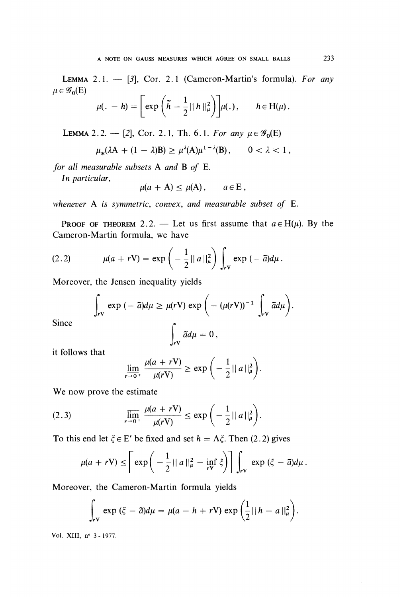LEMMA 2.1.  $-$  [3], Cor. 2.1 (Cameron-Martin's formula). For any  $\mu \in \mathscr{G}_{0}(E)$ 

$$
\mu(. - h) = \left[ \exp \left( \tilde{h} - \frac{1}{2} ||h||_{\mu}^{2} \right) \right] \mu(.), \quad h \in H(\mu).
$$

LEMMA 2.2. - [2], Cor. 2.1, Th. 6.1. For any  $\mu \in \mathscr{G}_0(E)$ 

$$
\mu_*(\lambda A + (1 - \lambda)B) \ge \mu^{\lambda}(A)\mu^{1 - \lambda}(B), \qquad 0 < \lambda < 1,
$$

for all measurable subsets A and B of E.

In particular,

$$
\mu(a + A) \leq \mu(A), \qquad a \in E,
$$

whenever A is symmetric, convex, and measurable subset of E.

**PROOF OF THEOREM** 2.2. — Let us first assume that  $a \in H(\mu)$ . By the Cameron-Martin formula, we have

(2.2) 
$$
\mu(a + rV) = \exp\left(-\frac{1}{2}||a||_{\mu}^{2}\right)\int_{rV} \exp(-\tilde{a})d\mu.
$$

Moreover, the Jensen inequality yields

$$
\int_{rV} \exp(-\tilde{a})d\mu \geq \mu(rV) \exp\left(-(\mu(rV))^{-1} \int_{rV} \tilde{a}d\mu\right).
$$

Since

$$
\int_{rV} \tilde{a} d\mu = 0,
$$

it follows that

$$
\lim_{r\to 0^+}\frac{\mu(a+r\mathbf{V})}{\mu(r\mathbf{V})}\geq \exp\bigg(-\frac{1}{2}||a||_{\mu}^2\bigg).
$$

We now prove the estimate

$$
(2.3) \qquad \qquad \overline{\lim_{r \to 0^+}} \frac{\mu(a + rV)}{\mu(rV)} \le \exp\left(-\frac{1}{2}||a||_{\mu}^2\right).
$$

To this end let  $\xi \in E'$  be fixed and set  $h = \Lambda \xi$ . Then (2.2) gives

$$
\mu(a + rV) \leq \left[\exp\left(-\frac{1}{2}||a||_{\mu}^{2} - \inf_{rV}\xi\right)\right]\int_{rV} \exp\left(\xi - \tilde{a}\right)d\mu.
$$

Moreover, the Cameron-Martin formula yields

$$
\int_{rV} \exp\left(\xi - \tilde{a}\right) d\mu = \mu(a - h + rV) \exp\left(\frac{1}{2}||h - a||_{\mu}^{2}\right).
$$

Vol. XIII, n° 3 - 1977.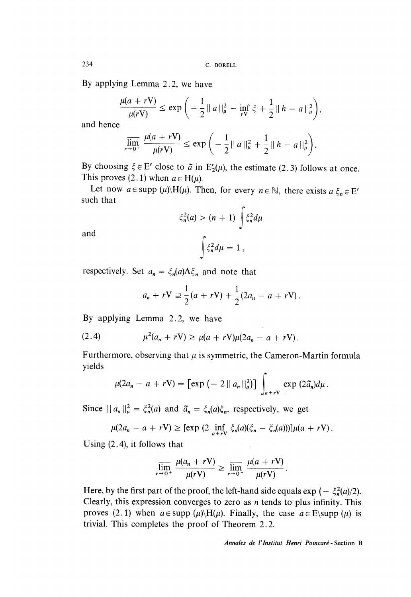234 C. BORELL

By applying Lemma 2.2, we have

$$
\frac{\mu(a + rV)}{\mu(rV)} \le \exp\bigg(-\frac{1}{2}||a||_{\mu}^{2} - \inf_{rV} \xi + \frac{1}{2}||h - a||_{\mu}^{2}\bigg),
$$

and hence

$$
\overline{\lim_{r \to 0^+} \frac{\mu(a + rV)}{\mu(rV)}} \le \exp\left(-\frac{1}{2} ||a||_{\mu}^2 + \frac{1}{2} ||h - a||_{\mu}^2\right).
$$

By choosing  $\xi \in E'$  close to  $\tilde{a}$  in  $E'_2(\mu)$ , the estimate (2.3) follows at once. This proves (2.1) when  $a \in H(u)$ .

Let now  $a \in \text{supp } (\mu) \setminus H(\mu)$ . Then, for every  $n \in \mathbb{N}$ , there exists  $a \xi_n \in E'$ such that

$$
\xi_n^2(a) > (n+1) \int \xi_n^2 d\mu
$$

and

$$
\int \xi_n^2 d\mu = 1
$$

respectively. Set  $a_n = \xi_n(a) \Lambda \xi_n$  and note that

$$
a_n + rV \supseteq \frac{1}{2}(a + rV) + \frac{1}{2}(2a_n - a + rV).
$$

By applying Lemma 2.2, we have

(2.4) 
$$
\mu^2(a_n + rV) \ge \mu(a + rV)\mu(2a_n - a + rV).
$$

Furthermore, observing that  $\mu$  is symmetric, the Cameron-Martin formula yields

$$
\mu(2a_n - a + r\mathbf{V}) = \left[\exp\left(-2||a_n||_{\mu}^2\right)\right] \int_{a+r\mathbf{V}} \exp\left(2\tilde{a}_n\right) d\mu.
$$

Since  $||a_n||_{\mu}^2 = \xi_n^2(a)$  and  $\tilde{a}_n = \xi_n(a)\xi_n$ , respectively, we get

$$
\mu(2a_n - a + rV) \geq [\exp(2 \inf_{a+rV} \xi_n(a)(\xi_n - \xi_n(a)))]\mu(a + rV).
$$

Using (2.4), it follows that

$$
\overline{\lim_{r \to 0^+}} \frac{\mu(a_n + rV)}{\mu(rV)} \ge \overline{\lim_{r \to 0^+}} \frac{\mu(a + rV)}{\mu(rV)}
$$

Here, by the first part of the proof, the left-hand side equals  $\exp(-\xi_n^2(a)/2)$ . Clearly, this expression converges to zero as  $n$  tends to plus infinity. This proves (2.1) when  $a \in \text{supp } (\mu) \setminus H(\mu)$ . Finally, the case  $a \in E \setminus \text{supp } (\mu)$  is trivial. This completes the proof of Theorem 2.2.

Annales de 1'Institut Henri Poincaré - Section B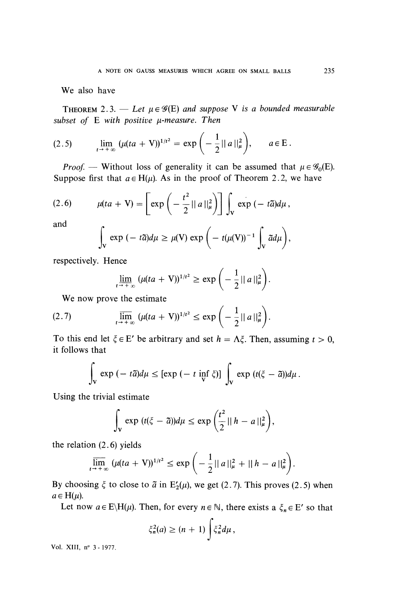We also have

THEOREM 2.3. — Let  $\mu \in \mathscr{G}(E)$  and suppose V is a bounded measurable subset of  $E$  with positive  $\mu$ -measure. Then

(2.5) 
$$
\lim_{t \to +\infty} (\mu(ta + V))^{1/t^2} = \exp\left(-\frac{1}{2}||a||_{\mu}^2\right), \qquad a \in E.
$$

*Proof.* — Without loss of generality it can be assumed that  $\mu \in \mathscr{G}_0(E)$ . Suppose first that  $a \in H(u)$ . As in the proof of Theorem 2.2, we have

(2.6) 
$$
\mu(ta + V) = \left[\exp\left(-\frac{t^2}{2}||a||_{\mu}^2\right)\right] \int_{V} \exp\left(-t\tilde{a}\right) d\mu,
$$

and

$$
\int_{V} \exp(-t\tilde{a})d\mu \geq \mu(V) \exp\bigg(-t(\mu(V))^{-1}\int_{V} \tilde{a}d\mu\bigg),
$$

respectively. Hence

$$
\lim_{t \to +\infty} (\mu(ta + V))^{1/t^2} \ge \exp\left(-\frac{1}{2} ||a||_{\mu}^2\right).
$$

We now prove the estimate

(2.7) 
$$
\overline{\lim}_{t \to +\infty} (\mu(ta + V))^{1/t^2} \le \exp\left(-\frac{1}{2} ||a||_{\mu}^2\right).
$$

To this end let  $\xi \in E'$  be arbitrary and set  $h = \Lambda \xi$ . Then, assuming  $t > 0$ , it follows that

$$
\int_{V} \exp\left(-t\,\tilde{a}\right) d\mu \leq \left[\exp\left(-t\,\inf_{V}\,\zeta\right)\right] \int_{V} \exp\left(t(\zeta-\tilde{a})\right) d\mu.
$$

Using the trivial estimate

$$
\int_{\mathbf{v}} \exp(t(\xi - \tilde{a})) d\mu \leq \exp\left(\frac{t^2}{2} ||h - a||_{\mu}^2\right),
$$

the relation (2.6) yields

$$
\overline{\lim}_{t\to+\infty} \left( \mu(ta + V)^{1/t^2} \le \exp\left( -\frac{1}{2} ||a||_{\mu}^2 + ||h-a||_{\mu}^2 \right).
$$

By choosing  $\xi$  to close to  $\tilde{a}$  in E<sub>2</sub>( $\mu$ ), we get (2.7). This proves (2.5) when  $a \in H(\mu)$ .

Let now  $a \in E\backslash H(\mu)$ . Then, for every  $n \in \mathbb{N}$ , there exists a  $\xi_n \in E'$  so that

$$
\xi_n^2(a) \ge (n+1) \int \xi_n^2 d\mu \,,
$$

Vol. XIII, n° 3 - 1977.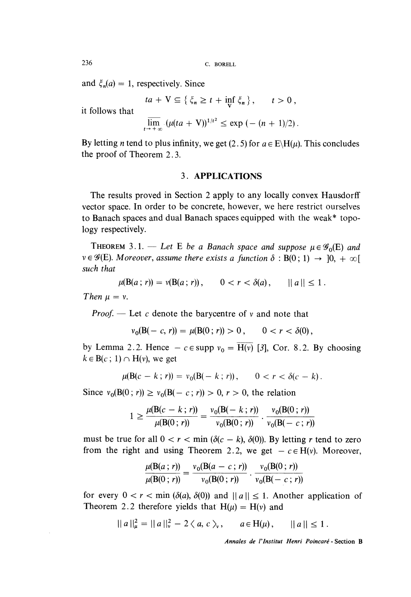and  $\xi_n(a) = 1$ , respectively. Since

$$
ta + V \subseteq \{\xi_n \ge t + \inf_{V} \xi_n\}, \quad t > 0,
$$

it follows that

$$
\overline{\lim}_{t\to +\infty} \left( \mu(ta + V) \right)^{1/t^2} \le \exp\left( - (n + 1)/2 \right).
$$

By letting *n* tend to plus infinity, we get (2.5) for  $a \in E\setminus H(u)$ . This concludes the proof of Theorem 2. 3.

#### 3. APPLICATIONS

The results proved in Section 2 apply to any locally convex Hausdorff vector space. In order to be concrete, however, we here restrict ourselves to Banach spaces and dual Banach spaces equipped with the weak\* topology respectively.

THEOREM 3.1. - Let E be a Banach space and suppose  $\mu \in \mathscr{G}_0(E)$  and  $v \in \mathscr{G}(E)$ . Moreover, assume there exists a function  $\delta : B(0:1) \rightarrow [0, +\infty[$ such that

$$
\mu(B(a; r)) = \nu(B(a; r)), \qquad 0 < r < \delta(a), \qquad ||a|| \leq 1
$$

Then  $\mu = \nu$ .

*Proof.* - Let c denote the barycentre of  $\nu$  and note that

$$
v_0(B(-c, r)) = \mu(B(0; r)) > 0, \qquad 0 < r < \delta(0),
$$

by Lemma 2.2. Hence  $-c \in \text{supp } v_0 = \overline{H(v)}$  [3], Cor. 8.2. By choosing  $k \in B(c; 1) \cap H(v)$ , we get

$$
\mu(\mathbf{B}(c - k; r)) = v_0(\mathbf{B}(- k; r)), \qquad 0 < r < \delta(c - k).
$$

Since  $v_0(B(0; r)) \ge v_0(B(-c; r)) > 0, r > 0$ , the relation

$$
1 \geq \frac{\mu(B(c-k; r))}{\mu(B(0; r))} = \frac{v_0(B(-k; r))}{v_0(B(0; r))} \cdot \frac{v_0(B(0; r))}{v_0(B(-c; r))}
$$

must be true for all  $0 < r < \min (\delta(c - k), \delta(0))$ . By letting r tend to zero from the right and using Theorem 2.2, we get  $-c \in H(v)$ . Moreover,

$$
\frac{\mu(B(a; r))}{\mu(B(0; r))} = \frac{v_0(B(a - c; r))}{v_0(B(0; r))} \cdot \frac{v_0(B(0; r))}{v_0(B(-c; r))}
$$

for every  $0 < r < \min (\delta(a), \delta(0))$  and  $||a|| \le 1$ . Another application of Theorem 2.2 therefore yields that  $H(\mu) = H(\nu)$  and

$$
||a||_{\mu}^{2} = ||a||_{\nu}^{2} - 2 \langle a, c \rangle_{\nu}, \quad a \in H(\mu), \quad ||a|| \leq 1.
$$

Annales de l'Institut Henri Poincaré - Section B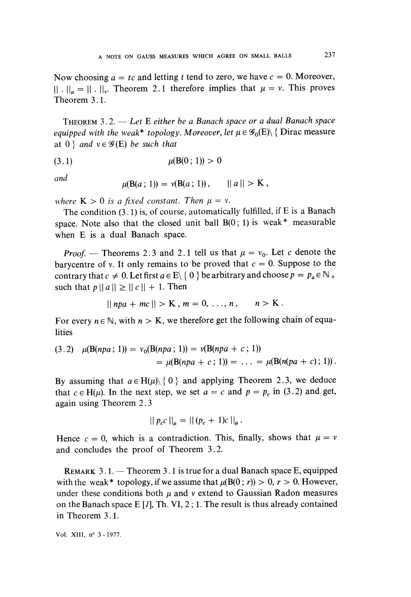Now choosing  $a = tc$  and letting t tend to zero, we have  $c = 0$ . Moreover,  $|| \cdot ||_{\mu} = || \cdot ||_{\nu}$ . Theorem 2.1 therefore implies that  $\mu = \nu$ . This proves Theorem 3.1.

THEOREM  $3.2$ . - Let E either be a Banach space or a dual Banach space equipped with the weak\* topology. Moreover, let  $\mu \in \mathscr{G}_0(E) \setminus \{$  Dirac measure at 0  $\}$  and  $v \in \mathcal{G}(E)$  be such that

$$
(3.1) \t\t \mu(B(0:1)) > 0
$$

and

$$
\mu(B(a: 1)) = \nu(B(a: 1)), \qquad ||a|| > K,
$$

where  $K > 0$  is a fixed constant. Then  $\mu = \nu$ .

The condition (3.1) is, of course, automatically fulfilled, if E is a Banach space. Note also that the closed unit ball  $B(0:1)$  is weak\* measurable when E is a dual Banach space.

*Proof.* – Theorems 2.3 and 2.1 tell us that  $\mu = v_0$ . Let c denote the barycentre of v. It only remains to be proved that  $c = 0$ . Suppose to the contrary that  $c \neq 0$ . Let first  $a \in E \setminus \{0\}$  be arbitrary and choose  $p = p_a \in \mathbb{N}$ + such that  $p || a || \ge || c || + 1$ . Then

$$
||npa + mc|| > K, m = 0, ..., n, \quad n > K.
$$

For every  $n \in \mathbb{N}$ , with  $n > K$ , we therefore get the following chain of equalities

$$
(3.2) \quad \mu(\mathbf{B}(npa \,;\, 1)) = \nu_0(\mathbf{B}(npa \,;\, 1)) = \nu(\mathbf{B}(npa + c \,;\, 1)) = \mu(\mathbf{B}(npa + c \,;\, 1)) = \ldots = \mu(\mathbf{B}(n(pa + c) \,;\, 1)) .
$$

By assuming that  $a \in H(\mu) \setminus \{0\}$  and applying Theorem 2.3, we deduce that  $c \in H(\mu)$ . In the next step, we set  $a = c$  and  $p = p_c$  in (3.2) and get, again using Theorem 2.3

$$
|| p_c c ||_{\mu} = || (p_c + 1)c ||_{\mu}.
$$

Hence  $c = 0$ , which is a contradiction. This, finally, shows that  $\mu = \nu$ and concludes the proof of Theorem 3.2.

REMARK  $3.1$ . - Theorem 3.1 is true for a dual Banach space E, equipped with the weak\* topology, if we assume that  $\mu(B(0, r)) > 0, r > 0$ . However, under these conditions both  $\mu$  and  $\nu$  extend to Gaussian Radon measures on the Banach space E [ $I$ ], Th. VI, 2; 1. The result is thus already contained in Theorem 3. l.

Vol. XIII, n° 3 - 1977.